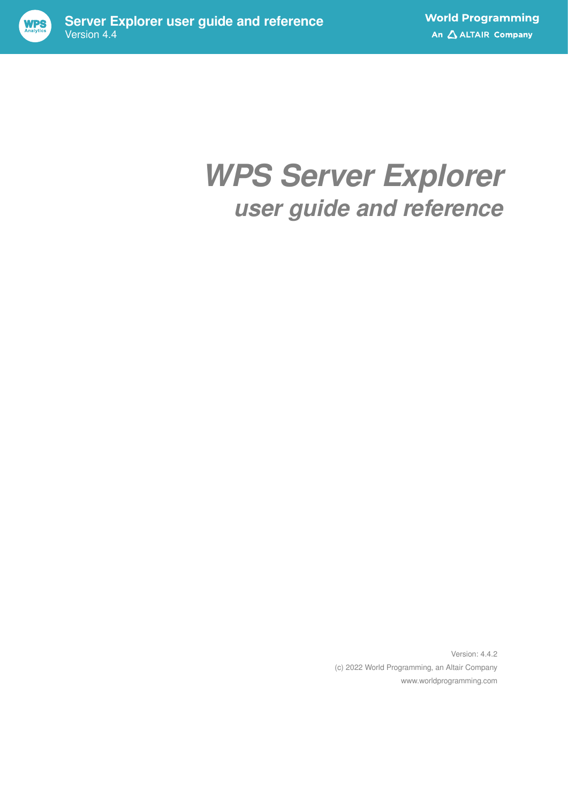

## *WPS Server Explorer user guide and reference*

Version: 4.4.2 (c) 2022 World Programming, an Altair Company www.worldprogramming.com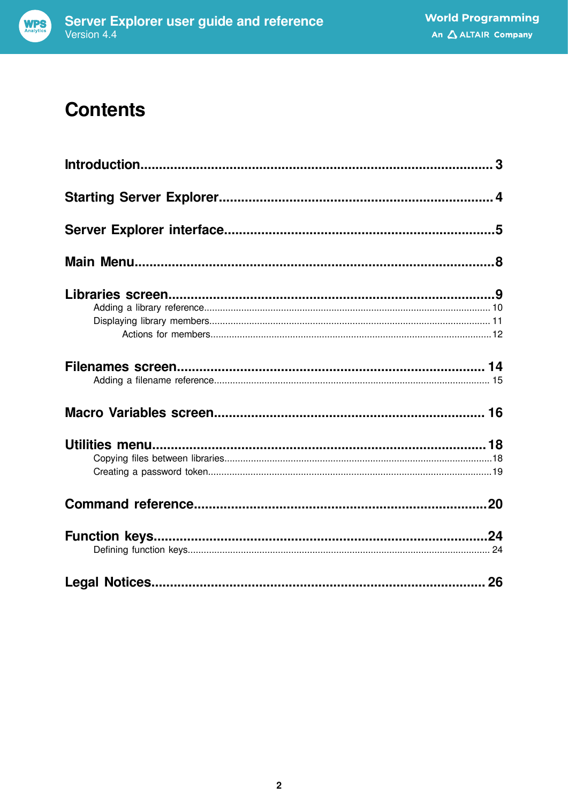

### **Contents**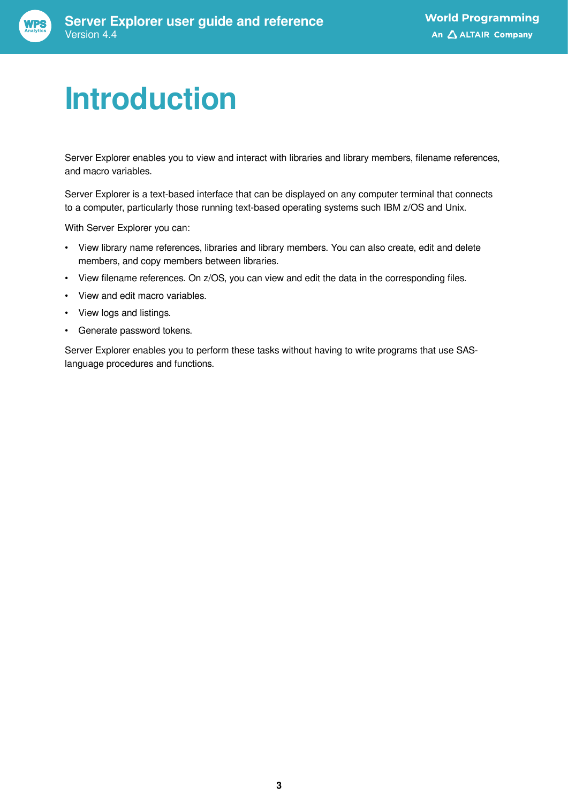

# <span id="page-2-0"></span>**Introduction**

Server Explorer enables you to view and interact with libraries and library members, filename references, and macro variables.

Server Explorer is a text-based interface that can be displayed on any computer terminal that connects to a computer, particularly those running text-based operating systems such IBM z/OS and Unix.

With Server Explorer you can:

- View library name references, libraries and library members. You can also create, edit and delete members, and copy members between libraries.
- View filename references. On z/OS, you can view and edit the data in the corresponding files.
- View and edit macro variables.
- View logs and listings.
- Generate password tokens.

Server Explorer enables you to perform these tasks without having to write programs that use SASlanguage procedures and functions.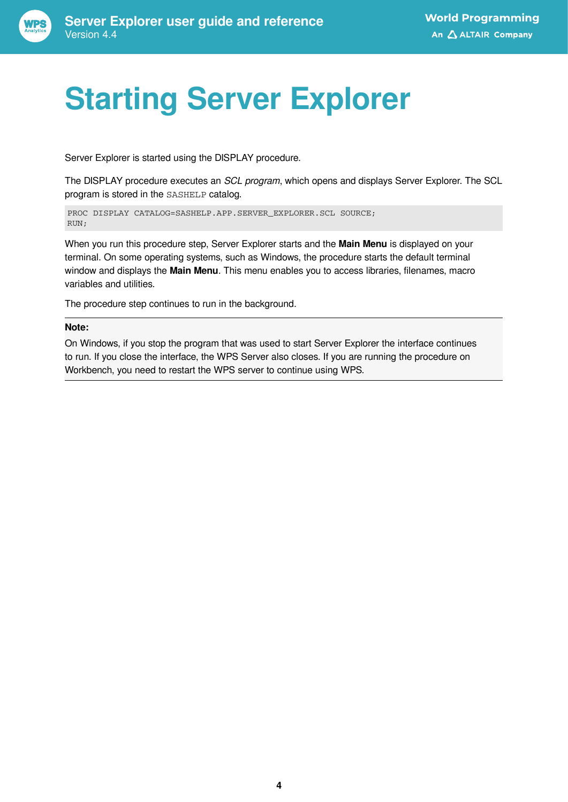

# <span id="page-3-0"></span>**Starting Server Explorer**

Server Explorer is started using the DISPLAY procedure.

The DISPLAY procedure executes an *SCL program*, which opens and displays Server Explorer. The SCL program is stored in the SASHELP catalog.

PROC DISPLAY CATALOG=SASHELP.APP.SERVER\_EXPLORER.SCL SOURCE; RUN;

When you run this procedure step, Server Explorer starts and the **Main Menu** is displayed on your terminal. On some operating systems, such as Windows, the procedure starts the default terminal window and displays the **Main Menu**. This menu enables you to access libraries, filenames, macro variables and utilities.

The procedure step continues to run in the background.

#### **Note:**

On Windows, if you stop the program that was used to start Server Explorer the interface continues to run. If you close the interface, the WPS Server also closes. If you are running the procedure on Workbench, you need to restart the WPS server to continue using WPS.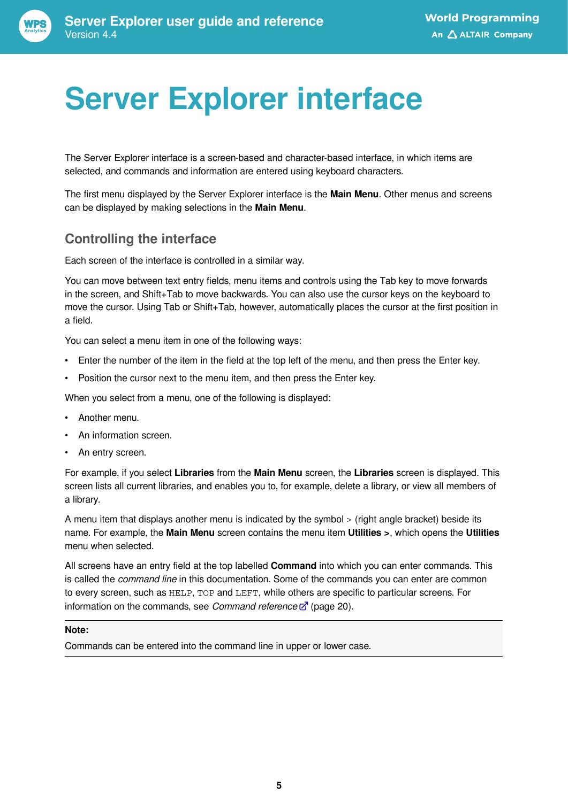# <span id="page-4-0"></span>**Server Explorer interface**

The Server Explorer interface is a screen-based and character-based interface, in which items are selected, and commands and information are entered using keyboard characters.

The first menu displayed by the Server Explorer interface is the **Main Menu**. Other menus and screens can be displayed by making selections in the **Main Menu**.

### **Controlling the interface**

Each screen of the interface is controlled in a similar way.

You can move between text entry fields, menu items and controls using the Tab key to move forwards in the screen, and Shift+Tab to move backwards. You can also use the cursor keys on the keyboard to move the cursor. Using Tab or Shift+Tab, however, automatically places the cursor at the first position in a field.

You can select a menu item in one of the following ways:

- Enter the number of the item in the field at the top left of the menu, and then press the Enter key.
- Position the cursor next to the menu item, and then press the Enter key.

When you select from a menu, one of the following is displayed:

- Another menu.
- An information screen.
- An entry screen.

For example, if you select **Libraries** from the **Main Menu** screen, the **Libraries** screen is displayed. This screen lists all current libraries, and enables you to, for example, delete a library, or view all members of a library.

A menu item that displays another menu is indicated by the symbol > (right angle bracket) beside its name. For example, the **Main Menu** screen contains the menu item **Utilities >**, which opens the **Utilities** menu when selected.

All screens have an entry field at the top labelled **Command** into which you can enter commands. This is called the *command line* in this documentation. Some of the commands you can enter are common to every screen, such as HELP, TOP and LEFT, while others are specific to particular screens. For information on the commands, see *Command reference* (page 20).

#### **Note:**

Commands can be entered into the command line in upper or lower case.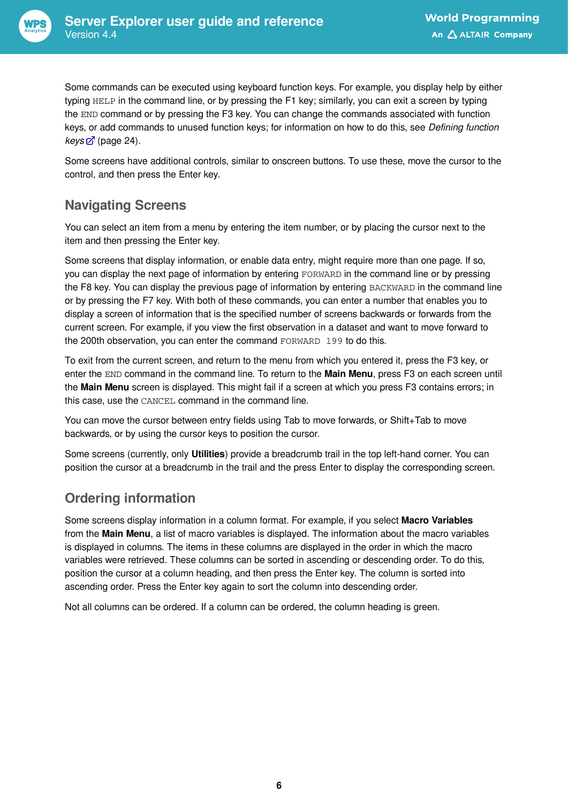

Some commands can be executed using keyboard function keys. For example, you display help by either typing HELP in the command line, or by pressing the F1 key; similarly, you can exit a screen by typing the END command or by pressing the F3 key. You can change the commands associated with function keys, or add commands to unused function keys; for information on how to do this, see *Defining function key[s](#page-23-1)* (page 24).

Some screens have additional controls, similar to onscreen buttons. To use these, move the cursor to the control, and then press the Enter key.

### **Navigating Screens**

You can select an item from a menu by entering the item number, or by placing the cursor next to the item and then pressing the Enter key.

Some screens that display information, or enable data entry, might require more than one page. If so, you can display the next page of information by entering FORWARD in the command line or by pressing the F8 key. You can display the previous page of information by entering BACKWARD in the command line or by pressing the F7 key. With both of these commands, you can enter a number that enables you to display a screen of information that is the specified number of screens backwards or forwards from the current screen. For example, if you view the first observation in a dataset and want to move forward to the 200th observation, you can enter the command FORWARD 199 to do this.

To exit from the current screen, and return to the menu from which you entered it, press the F3 key, or enter the END command in the command line. To return to the **Main Menu**, press F3 on each screen until the **Main Menu** screen is displayed. This might fail if a screen at which you press F3 contains errors; in this case, use the CANCEL command in the command line.

You can move the cursor between entry fields using Tab to move forwards, or Shift+Tab to move backwards, or by using the cursor keys to position the cursor.

Some screens (currently, only **Utilities**) provide a breadcrumb trail in the top left-hand corner. You can position the cursor at a breadcrumb in the trail and the press Enter to display the corresponding screen.

### **Ordering information**

Some screens display information in a column format. For example, if you select **Macro Variables** from the **Main Menu**, a list of macro variables is displayed. The information about the macro variables is displayed in columns. The items in these columns are displayed in the order in which the macro variables were retrieved. These columns can be sorted in ascending or descending order. To do this, position the cursor at a column heading, and then press the Enter key. The column is sorted into ascending order. Press the Enter key again to sort the column into descending order.

Not all columns can be ordered. If a column can be ordered, the column heading is green.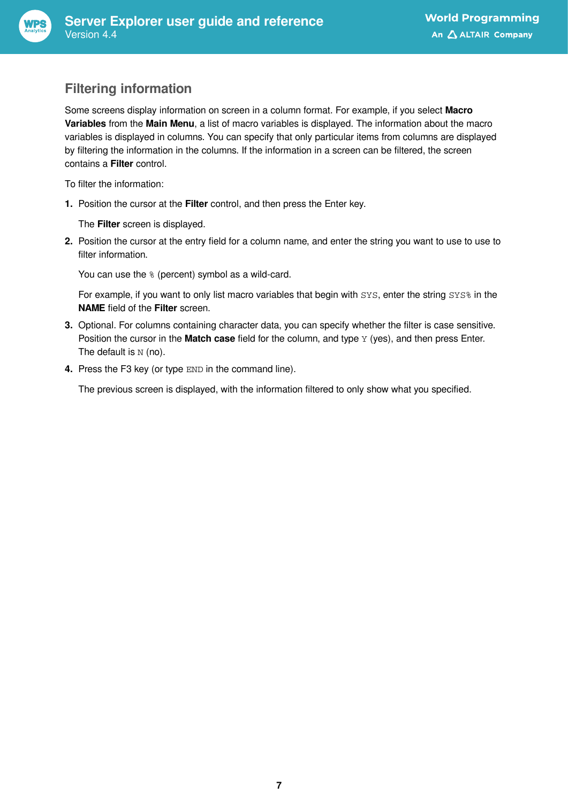

Some screens display information on screen in a column format. For example, if you select **Macro Variables** from the **Main Menu**, a list of macro variables is displayed. The information about the macro variables is displayed in columns. You can specify that only particular items from columns are displayed by filtering the information in the columns. If the information in a screen can be filtered, the screen contains a **Filter** control.

To filter the information:

**1.** Position the cursor at the **Filter** control, and then press the Enter key.

The **Filter** screen is displayed.

**2.** Position the cursor at the entry field for a column name, and enter the string you want to use to use to filter information.

You can use the % (percent) symbol as a wild-card.

For example, if you want to only list macro variables that begin with SYS, enter the string SYS% in the **NAME** field of the **Filter** screen.

- **3.** Optional. For columns containing character data, you can specify whether the filter is case sensitive. Position the cursor in the **Match case** field for the column, and type *Y* (yes), and then press Enter. The default is  $N$  (no).
- **4.** Press the F3 key (or type END in the command line).

The previous screen is displayed, with the information filtered to only show what you specified.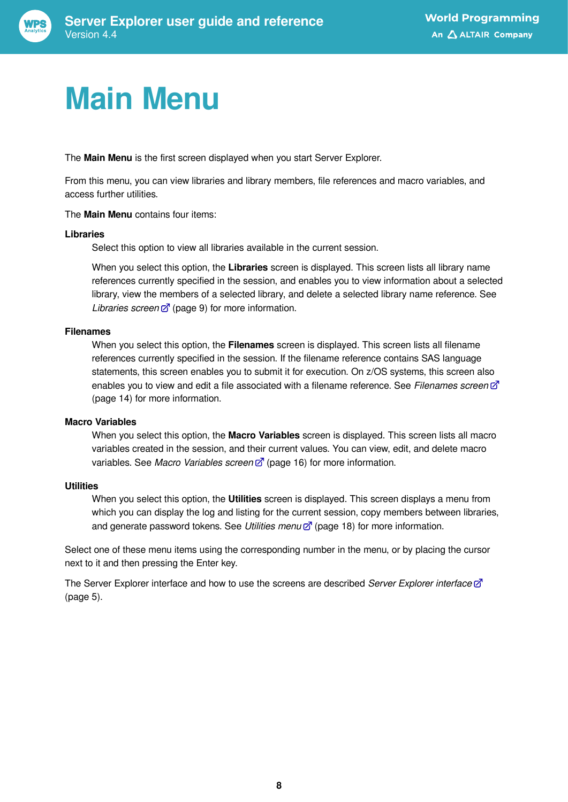

# <span id="page-7-0"></span>**Main Menu**

The **Main Menu** is the first screen displayed when you start Server Explorer.

From this menu, you can view libraries and library members, file references and macro variables, and access further utilities.

The **Main Menu** contains four items:

#### **Libraries**

Select this option to view all libraries available in the current session.

When you select this option, the **Libraries** screen is displayed. This screen lists all library name references currently specified in the session, and enables you to view information about a selected library, view the members of a selected library, and delete a selected library name reference. See *Libraries screen*  $\mathbb{Z}^r$  (page 9) for more information.

#### **Filenames**

When you select this option, the **Filenames** screen is displayed. This screen lists all filename references currently specified in the session. If the filename reference contains SAS language statements, this screen enables you to submit it for execution. On z/OS systems, this screen also enables you to view and edit a file associated with a filename reference. See *Filenames screen* (page 14) for more information.

#### **Macro Variables**

When you select this option, the **Macro Variables** screen is displayed. This screen lists all macro variables created in the session, and their current values. You can view, edit, and delete macro variables. See *Macro Variables scree[n](#page-15-0)* (page 16) for more information.

#### **Utilities**

When you select this option, the **Utilities** screen is displayed. This screen displays a menu from which you can display the log and listing for the current session, copy members between libraries, and generate password tokens. See *Utilities menu*  $\mathbb{Z}^7$  (page 18) for more information.

Select one of these menu items using the corresponding number in the menu, or by placing the cursor next to it and then pressing the Enter key.

The Server Explorer interface and how to use the screens are described *Server Explorer interface* (page 5).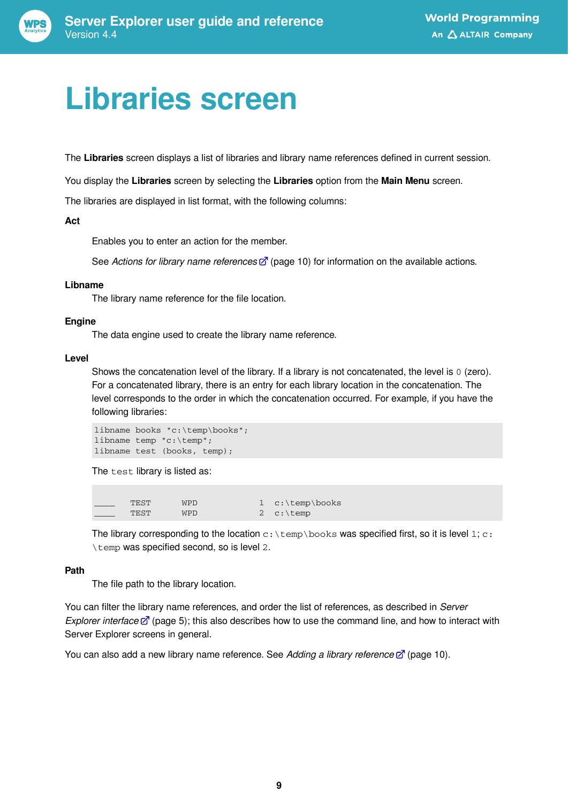

# <span id="page-8-0"></span>**Libraries screen**

The **Libraries** screen displays a list of libraries and library name references defined in current session.

You display the **Libraries** screen by selecting the **Libraries** option from the **Main Menu** screen.

The libraries are displayed in list format, with the following columns:

#### **Act**

Enables you to enter an action for the member.

See *Actions for library name reference[s](#page-9-1)* (page 10) for information on the available actions.

#### **Libname**

The library name reference for the file location.

#### **Engine**

The data engine used to create the library name reference.

#### **Level**

Shows the concatenation level of the library. If a library is not concatenated, the level is 0 (zero). For a concatenated library, there is an entry for each library location in the concatenation. The level corresponds to the order in which the concatenation occurred. For example, if you have the following libraries:

```
libname books "c:\temp\books";
libname temp "c:\temp";
libname test (books, temp);
```
The test library is listed as:

| <b>TEST</b> | <b>WPD</b> | 1 c:\temp\books   |
|-------------|------------|-------------------|
| <b>TEST</b> | <b>WPD</b> | 2 $c:\text{temp}$ |

The library corresponding to the location  $c:\temp\books$  was specified first, so it is level 1; c: \temp was specified second, so is level 2.

#### **Path**

The file path to the library location.

You can filter the library name references, and order the list of references, as described in *Server Explor[e](#page-4-0)r interface*  $\mathbb{Z}^r$  (page 5); this also describes how to use the command line, and how to interact with Server Explorer screens in general.

You can also add a new library name reference. See *Adding a library reference* (page 10).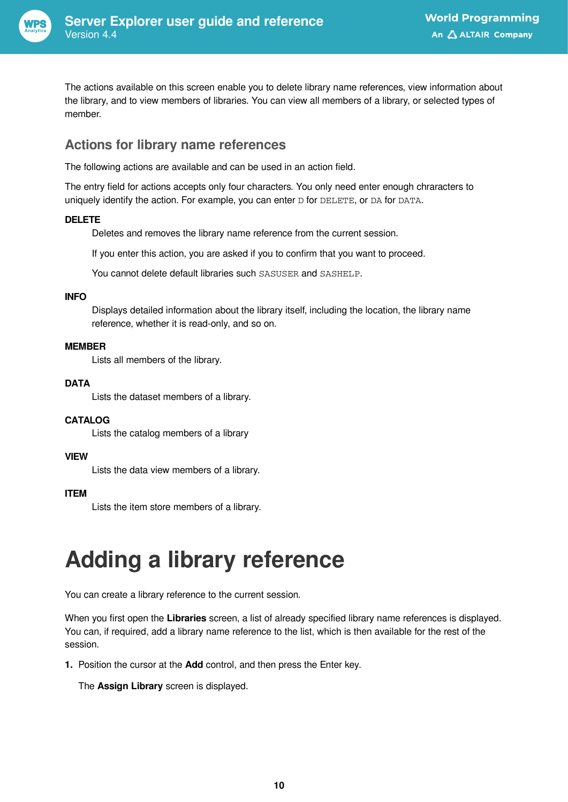

The actions available on this screen enable you to delete library name references, view information about the library, and to view members of libraries. You can view all members of a library, or selected types of member.

### <span id="page-9-1"></span>**Actions for library name references**

The following actions are available and can be used in an action field.

The entry field for actions accepts only four characters. You only need enter enough chraracters to uniquely identify the action. For example, you can enter D for DELETE, or DA for DATA.

#### **DELETE**

Deletes and removes the library name reference from the current session.

If you enter this action, you are asked if you to confirm that you want to proceed.

You cannot delete default libraries such SASUSER and SASHELP.

#### **INFO**

Displays detailed information about the library itself, including the location, the library name reference, whether it is read-only, and so on.

#### **MEMBER**

Lists all members of the library.

#### **DATA**

Lists the dataset members of a library.

#### **CATALOG**

Lists the catalog members of a library

#### **VIEW**

Lists the data view members of a library.

#### **ITEM**

Lists the item store members of a library.

## <span id="page-9-0"></span>**Adding a library reference**

You can create a library reference to the current session.

When you first open the **Libraries** screen, a list of already specified library name references is displayed. You can, if required, add a library name reference to the list, which is then available for the rest of the session.

**1.** Position the cursor at the **Add** control, and then press the Enter key.

The **Assign Library** screen is displayed.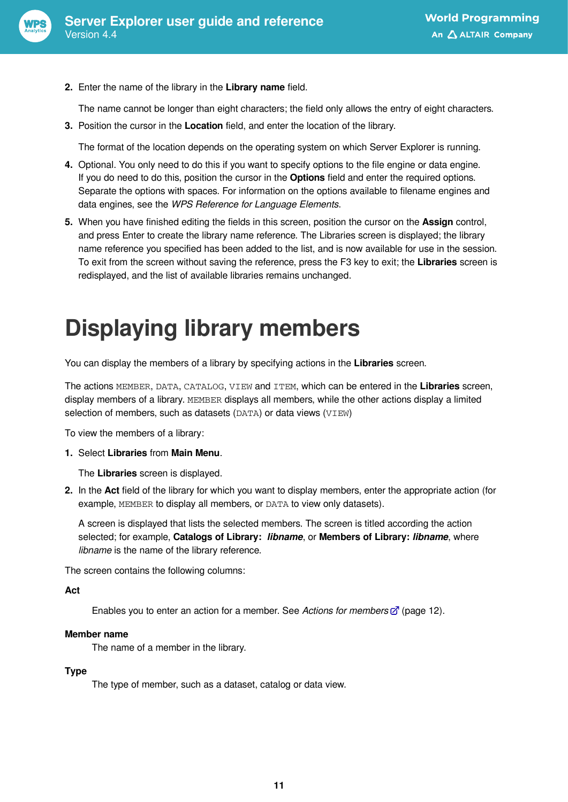

**2.** Enter the name of the library in the **Library name** field.

The name cannot be longer than eight characters; the field only allows the entry of eight characters.

**3.** Position the cursor in the **Location** field, and enter the location of the library.

The format of the location depends on the operating system on which Server Explorer is running.

- **4.** Optional. You only need to do this if you want to specify options to the file engine or data engine. If you do need to do this, position the cursor in the **Options** field and enter the required options. Separate the options with spaces. For information on the options available to filename engines and data engines, see the *WPS Reference for Language Elements*.
- **5.** When you have finished editing the fields in this screen, position the cursor on the **Assign** control, and press Enter to create the library name reference. The Libraries screen is displayed; the library name reference you specified has been added to the list, and is now available for use in the session. To exit from the screen without saving the reference, press the F3 key to exit; the **Libraries** screen is redisplayed, and the list of available libraries remains unchanged.

## <span id="page-10-0"></span>**Displaying library members**

You can display the members of a library by specifying actions in the **Libraries** screen.

The actions MEMBER, DATA, CATALOG, VIEW and ITEM, which can be entered in the **Libraries** screen, display members of a library. MEMBER displays all members, while the other actions display a limited selection of members, such as datasets (DATA) or data views (VIEW)

To view the members of a library:

**1.** Select **Libraries** from **Main Menu**.

The **Libraries** screen is displayed.

**2.** In the **Act** field of the library for which you want to display members, enter the appropriate action (for example, MEMBER to display all members, or DATA to view only datasets).

A screen is displayed that lists the selected members. The screen is titled according the action selected; for example, **Catalogs of Library:** *libname*, or **Members of Library:** *libname*, where *libname* is the name of the library reference.

The screen contains the following columns:

#### **Act**

Enables you to enter an action for a member. See *Actions for member[s](#page-11-0)* (page 12).

#### **Member name**

The name of a member in the library.

#### **Type**

The type of member, such as a dataset, catalog or data view.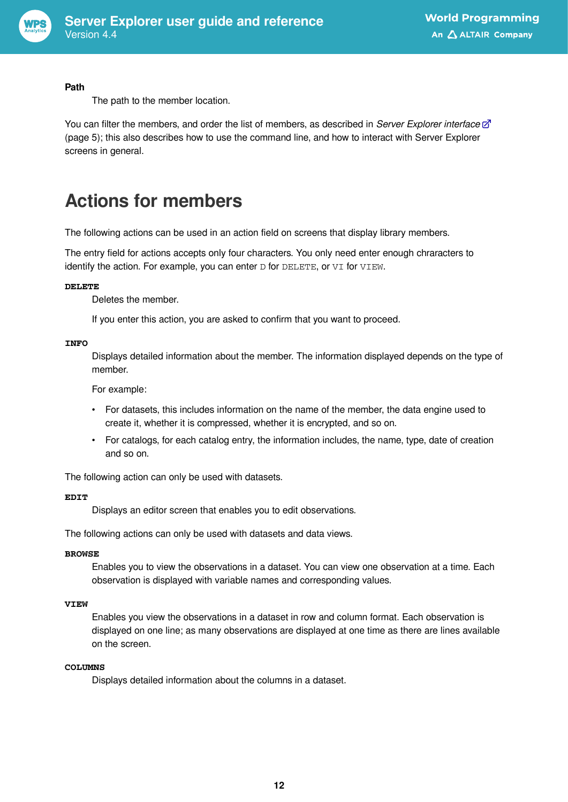

**Path**

The path to the member location.

You can filter the members, and order the list of members, as described in *Server Explorer interfac[e](#page-4-0)* (page 5); this also describes how to use the command line, and how to interact with Server Explorer screens in general.

### <span id="page-11-0"></span>**Actions for members**

The following actions can be used in an action field on screens that display library members.

The entry field for actions accepts only four characters. You only need enter enough chraracters to identify the action. For example, you can enter D for DELETE, or VI for VIEW.

#### **DELETE**

Deletes the member.

If you enter this action, you are asked to confirm that you want to proceed.

#### **INFO**

Displays detailed information about the member. The information displayed depends on the type of member.

For example:

- For datasets, this includes information on the name of the member, the data engine used to create it, whether it is compressed, whether it is encrypted, and so on.
- For catalogs, for each catalog entry, the information includes, the name, type, date of creation and so on.

The following action can only be used with datasets.

#### **EDIT**

Displays an editor screen that enables you to edit observations.

The following actions can only be used with datasets and data views.

#### **BROWSE**

Enables you to view the observations in a dataset. You can view one observation at a time. Each observation is displayed with variable names and corresponding values.

#### **VIEW**

Enables you view the observations in a dataset in row and column format. Each observation is displayed on one line; as many observations are displayed at one time as there are lines available on the screen.

#### **COLUMNS**

Displays detailed information about the columns in a dataset.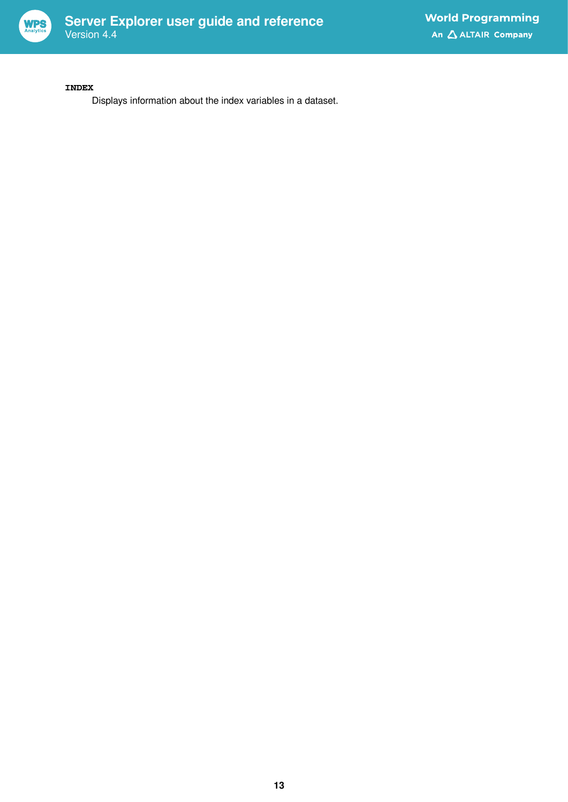

#### **INDEX**

Displays information about the index variables in a dataset.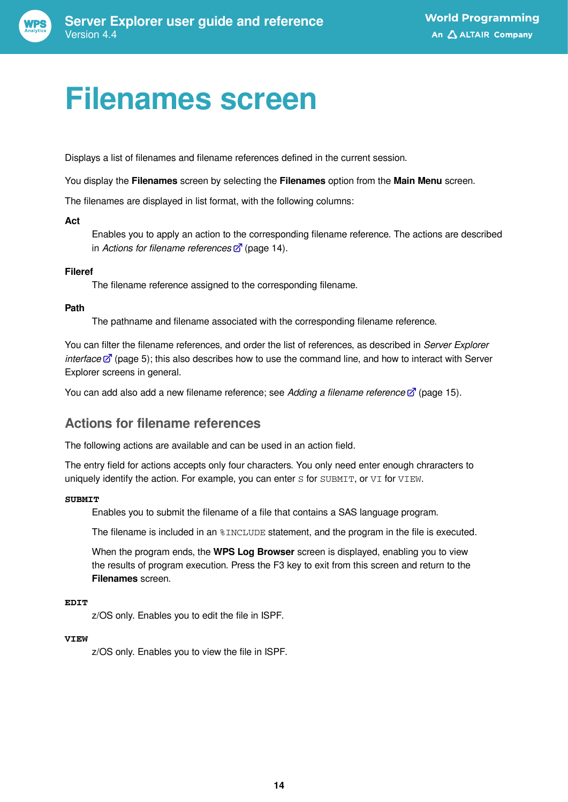

## <span id="page-13-0"></span>**Filenames screen**

Displays a list of filenames and filename references defined in the current session.

You display the **Filenames** screen by selecting the **Filenames** option from the **Main Menu** screen.

The filenames are displayed in list format, with the following columns:

#### **Act**

Enables you to apply an action to the corresponding filename reference. The actions are described in *Actions for filename reference[s](#page-13-1)* (page 14).

#### **Fileref**

The filename reference assigned to the corresponding filename.

#### **Path**

The pathname and filename associated with the corresponding filename reference.

You can filter the filename references, and order the list of references, as described in *Server Explorer interface*  $\mathbb{Z}^r$  (page 5); this also describes how to use the command line, and how to interact with Server Explorer screens in general.

<span id="page-13-1"></span>You can add also add a new filename reference; see *Adding a filename reference* (page 15).

### **Actions for filename references**

The following actions are available and can be used in an action field.

The entry field for actions accepts only four characters. You only need enter enough chraracters to uniquely identify the action. For example, you can enter s for SUBMIT, or VI for VIEW.

#### **SUBMIT**

Enables you to submit the filename of a file that contains a SAS language program.

The filename is included in an %INCLUDE statement, and the program in the file is executed.

When the program ends, the **WPS Log Browser** screen is displayed, enabling you to view the results of program execution. Press the F3 key to exit from this screen and return to the **Filenames** screen.

#### **EDIT**

z/OS only. Enables you to edit the file in ISPF.

#### **VIEW**

z/OS only. Enables you to view the file in ISPF.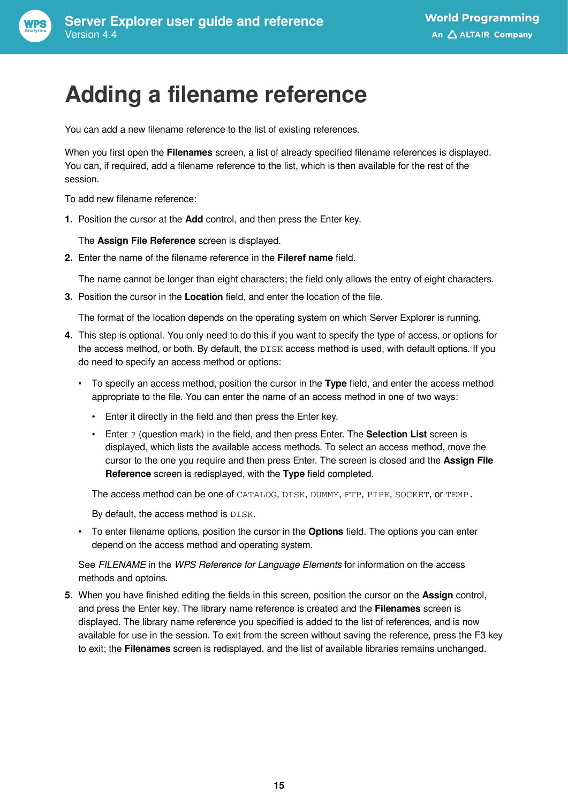

## <span id="page-14-0"></span>**Adding a filename reference**

You can add a new filename reference to the list of existing references.

When you first open the **Filenames** screen, a list of already specified filename references is displayed. You can, if required, add a filename reference to the list, which is then available for the rest of the session.

To add new filename reference:

**1.** Position the cursor at the **Add** control, and then press the Enter key.

#### The **Assign File Reference** screen is displayed.

**2.** Enter the name of the filename reference in the **Fileref name** field.

The name cannot be longer than eight characters; the field only allows the entry of eight characters.

**3.** Position the cursor in the **Location** field, and enter the location of the file.

The format of the location depends on the operating system on which Server Explorer is running.

- **4.** This step is optional. You only need to do this if you want to specify the type of access, or options for the access method, or both. By default, the DISK access method is used, with default options. If you do need to specify an access method or options:
	- To specify an access method, position the cursor in the **Type** field, and enter the access method appropriate to the file. You can enter the name of an access method in one of two ways:
		- Enter it directly in the field and then press the Enter key.
		- Enter ? (question mark) in the field, and then press Enter. The **Selection List** screen is displayed, which lists the available access methods. To select an access method, move the cursor to the one you require and then press Enter. The screen is closed and the **Assign File Reference** screen is redisplayed, with the **Type** field completed.

The access method can be one of CATALOG, DISK, DUMMY, FTP, PIPE, SOCKET, or TEMP.

By default, the access method is DISK.

• To enter filename options, position the cursor in the **Options** field. The options you can enter depend on the access method and operating system.

See *FILENAME* in the *WPS Reference for Language Elements* for information on the access methods and optoins.

**5.** When you have finished editing the fields in this screen, position the cursor on the **Assign** control, and press the Enter key. The library name reference is created and the **Filenames** screen is displayed. The library name reference you specified is added to the list of references, and is now available for use in the session. To exit from the screen without saving the reference, press the F3 key to exit; the **Filenames** screen is redisplayed, and the list of available libraries remains unchanged.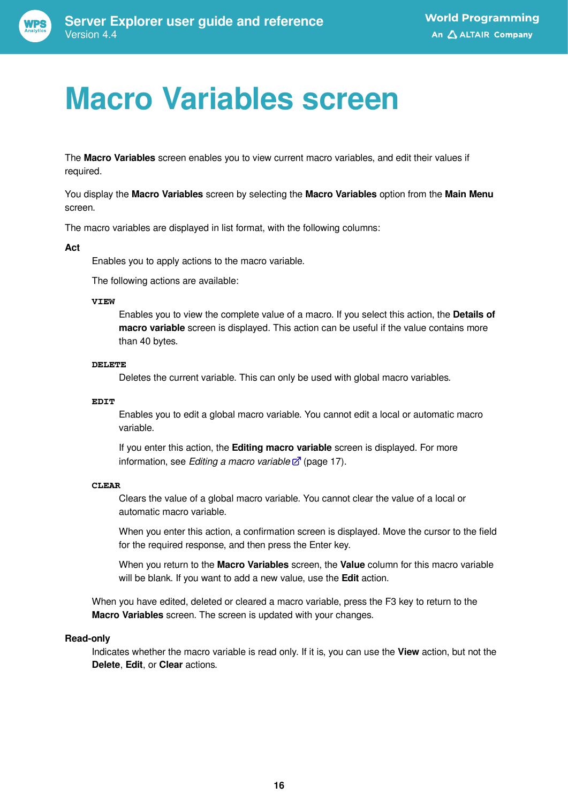

# <span id="page-15-0"></span>**Macro Variables screen**

The **Macro Variables** screen enables you to view current macro variables, and edit their values if required.

You display the **Macro Variables** screen by selecting the **Macro Variables** option from the **Main Menu** screen.

The macro variables are displayed in list format, with the following columns:

#### **Act**

Enables you to apply actions to the macro variable.

The following actions are available:

#### **VIEW**

Enables you to view the complete value of a macro. If you select this action, the **Details of macro variable** screen is displayed. This action can be useful if the value contains more than 40 bytes.

#### **DELETE**

Deletes the current variable. This can only be used with global macro variables.

#### **EDIT**

Enables you to edit a global macro variable. You cannot edit a local or automatic macro variable.

If you enter this action, the **Editing macro variable** screen is displayed. For more information, see *Editing a macro variabl[e](#page-16-0)* (page 17).

#### **CLEAR**

Clears the value of a global macro variable. You cannot clear the value of a local or automatic macro variable.

When you enter this action, a confirmation screen is displayed. Move the cursor to the field for the required response, and then press the Enter key.

When you return to the **Macro Variables** screen, the **Value** column for this macro variable will be blank. If you want to add a new value, use the **Edit** action.

When you have edited, deleted or cleared a macro variable, press the F3 key to return to the **Macro Variables** screen. The screen is updated with your changes.

#### **Read-only**

Indicates whether the macro variable is read only. If it is, you can use the **View** action, but not the **Delete**, **Edit**, or **Clear** actions.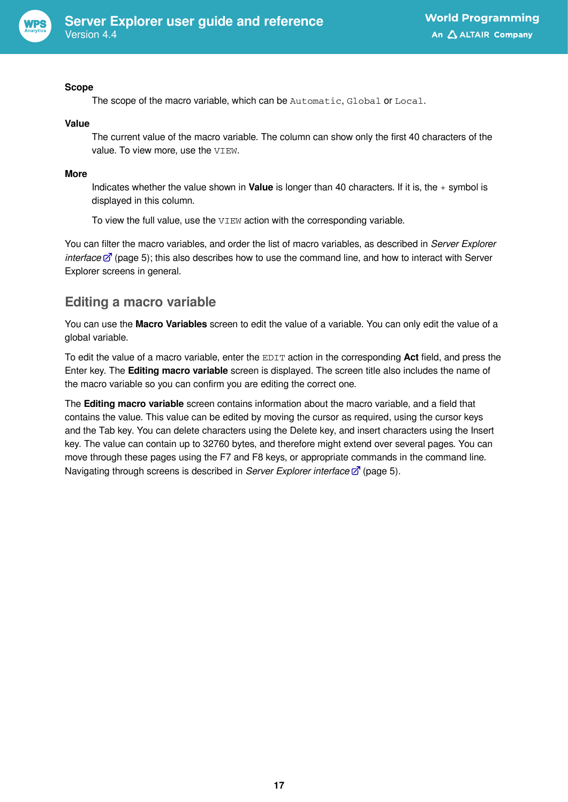

#### **Scope**

The scope of the macro variable, which can be Automatic, Global or Local.

#### **Value**

The current value of the macro variable. The column can show only the first 40 characters of the value. To view more, use the VIEW.

#### **More**

Indicates whether the value shown in **Value** is longer than 40 characters. If it is, the + symbol is displayed in this column.

To view the full value, use the VIEW action with the corresponding variable.

You can filter the macro variables, and order the list of macro variables, as described in *Server Explorer interface* (page 5); this also describes how to use the command line, and how to interact with Server Explorer screens in general.

### <span id="page-16-0"></span>**Editing a macro variable**

You can use the **Macro Variables** screen to edit the value of a variable. You can only edit the value of a global variable.

To edit the value of a macro variable, enter the EDIT action in the corresponding **Act** field, and press the Enter key. The **Editing macro variable** screen is displayed. The screen title also includes the name of the macro variable so you can confirm you are editing the correct one.

The **Editing macro variable** screen contains information about the macro variable, and a field that contains the value. This value can be edited by moving the cursor as required, using the cursor keys and the Tab key. You can delete characters using the Delete key, and insert characters using the Insert key. The value can contain up to 32760 bytes, and therefore might extend over several pages. You can move through these pages using the F7 and F8 keys, or appropriate commands in the command line. Navigating through screens is described in *Server Explorer interfac[e](#page-4-0)* (page 5).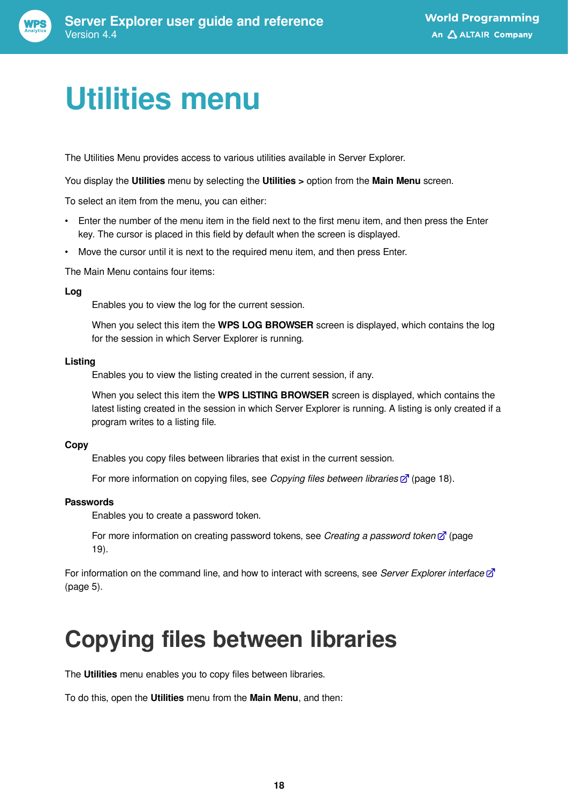# <span id="page-17-0"></span>**Utilities menu**

The Utilities Menu provides access to various utilities available in Server Explorer.

You display the **Utilities** menu by selecting the **Utilities >** option from the **Main Menu** screen.

To select an item from the menu, you can either:

- Enter the number of the menu item in the field next to the first menu item, and then press the Enter key. The cursor is placed in this field by default when the screen is displayed.
- Move the cursor until it is next to the required menu item, and then press Enter.

The Main Menu contains four items:

#### **Log**

Enables you to view the log for the current session.

When you select this item the **WPS LOG BROWSER** screen is displayed, which contains the log for the session in which Server Explorer is running.

#### **Listing**

Enables you to view the listing created in the current session, if any.

When you select this item the **WPS LISTING BROWSER** screen is displayed, which contains the latest listing created in the session in which Server Explorer is running. A listing is only created if a program writes to a listing file.

#### **Copy**

Enables you copy files between libraries that exist in the current session.

For more information on copying files, see *Copying files between librarie[s](#page-17-1)* (page 18).

#### **Passwords**

Enables you to create a password token.

For more information on creating password tokens, see *Creating a password token*  $\mathbb{Z}^r$  (page 19).

For information on the command line, and how to interact with screens, see *Server Explorer interface* (page 5).

## <span id="page-17-1"></span>**Copying files between libraries**

The **Utilities** menu enables you to copy files between libraries.

To do this, open the **Utilities** menu from the **Main Menu**, and then: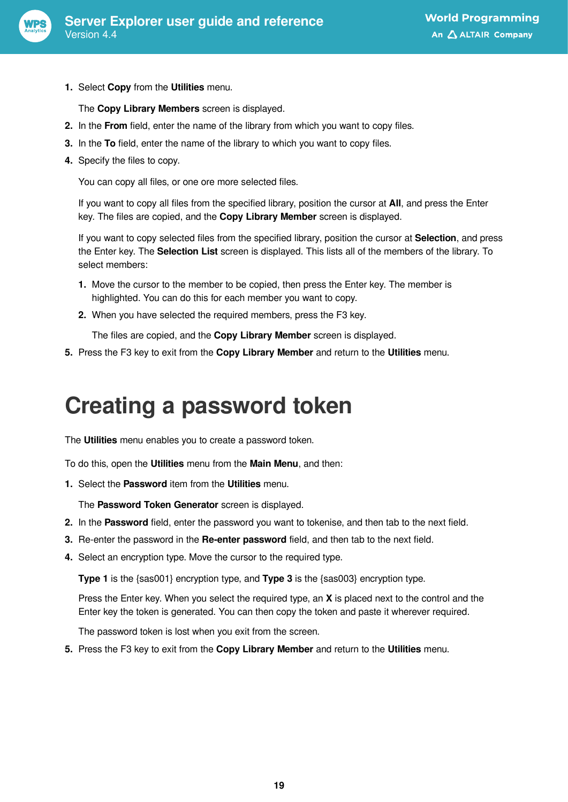

**1.** Select **Copy** from the **Utilities** menu.

The **Copy Library Members** screen is displayed.

- **2.** In the **From** field, enter the name of the library from which you want to copy files.
- **3.** In the **To** field, enter the name of the library to which you want to copy files.
- **4.** Specify the files to copy.

You can copy all files, or one ore more selected files.

If you want to copy all files from the specified library, position the cursor at **All**, and press the Enter key. The files are copied, and the **Copy Library Member** screen is displayed.

If you want to copy selected files from the specified library, position the cursor at **Selection**, and press the Enter key. The **Selection List** screen is displayed. This lists all of the members of the library. To select members:

- **1.** Move the cursor to the member to be copied, then press the Enter key. The member is highlighted. You can do this for each member you want to copy.
- **2.** When you have selected the required members, press the F3 key.

The files are copied, and the **Copy Library Member** screen is displayed.

**5.** Press the F3 key to exit from the **Copy Library Member** and return to the **Utilities** menu.

## <span id="page-18-0"></span>**Creating a password token**

The **Utilities** menu enables you to create a password token.

To do this, open the **Utilities** menu from the **Main Menu**, and then:

**1.** Select the **Password** item from the **Utilities** menu.

The **Password Token Generator** screen is displayed.

- **2.** In the **Password** field, enter the password you want to tokenise, and then tab to the next field.
- **3.** Re-enter the password in the **Re-enter password** field, and then tab to the next field.
- **4.** Select an encryption type. Move the cursor to the required type.

**Type 1** is the {sas001} encryption type, and **Type 3** is the {sas003} encryption type.

Press the Enter key. When you select the required type, an **X** is placed next to the control and the Enter key the token is generated. You can then copy the token and paste it wherever required.

The password token is lost when you exit from the screen.

**5.** Press the F3 key to exit from the **Copy Library Member** and return to the **Utilities** menu.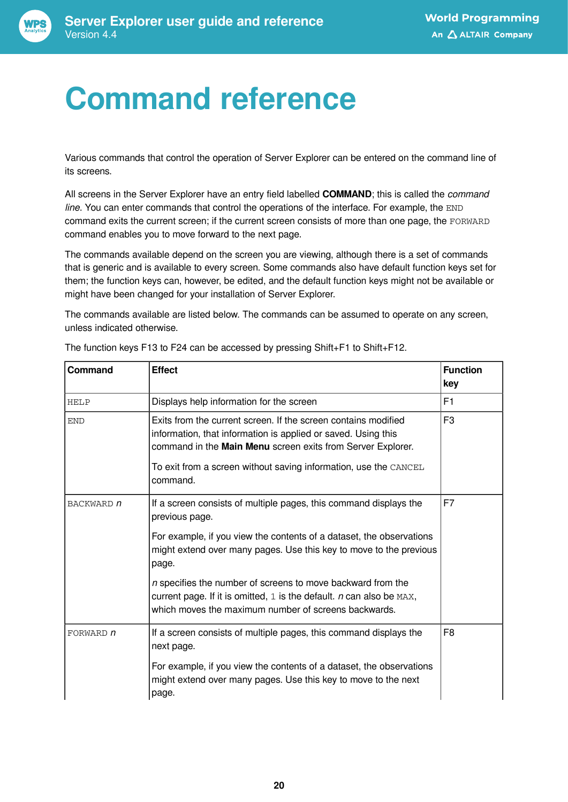

# <span id="page-19-0"></span>**Command reference**

Various commands that control the operation of Server Explorer can be entered on the command line of its screens.

All screens in the Server Explorer have an entry field labelled **COMMAND**; this is called the *command line*. You can enter commands that control the operations of the interface. For example, the END command exits the current screen; if the current screen consists of more than one page, the FORWARD command enables you to move forward to the next page.

The commands available depend on the screen you are viewing, although there is a set of commands that is generic and is available to every screen. Some commands also have default function keys set for them; the function keys can, however, be edited, and the default function keys might not be available or might have been changed for your installation of Server Explorer.

The commands available are listed below. The commands can be assumed to operate on any screen, unless indicated otherwise.

| Command     | <b>Effect</b>                                                                                                                                                                                                                                                                                                                                                                                                                                                | <b>Function</b><br>key |
|-------------|--------------------------------------------------------------------------------------------------------------------------------------------------------------------------------------------------------------------------------------------------------------------------------------------------------------------------------------------------------------------------------------------------------------------------------------------------------------|------------------------|
| <b>HELP</b> | Displays help information for the screen                                                                                                                                                                                                                                                                                                                                                                                                                     | F <sub>1</sub>         |
| <b>END</b>  | Exits from the current screen. If the screen contains modified<br>information, that information is applied or saved. Using this<br>command in the Main Menu screen exits from Server Explorer.<br>To exit from a screen without saving information, use the CANCEL<br>command.                                                                                                                                                                               | F <sub>3</sub>         |
| BACKWARD n  | If a screen consists of multiple pages, this command displays the<br>previous page.<br>For example, if you view the contents of a dataset, the observations<br>might extend over many pages. Use this key to move to the previous<br>page.<br><i>n</i> specifies the number of screens to move backward from the<br>current page. If it is omitted, $1$ is the default. <i>n</i> can also be $MAX$ ,<br>which moves the maximum number of screens backwards. | F7                     |
| FORWARD $n$ | If a screen consists of multiple pages, this command displays the<br>next page.<br>For example, if you view the contents of a dataset, the observations<br>might extend over many pages. Use this key to move to the next<br>page.                                                                                                                                                                                                                           | F <sub>8</sub>         |

The function keys F13 to F24 can be accessed by pressing Shift+F1 to Shift+F12.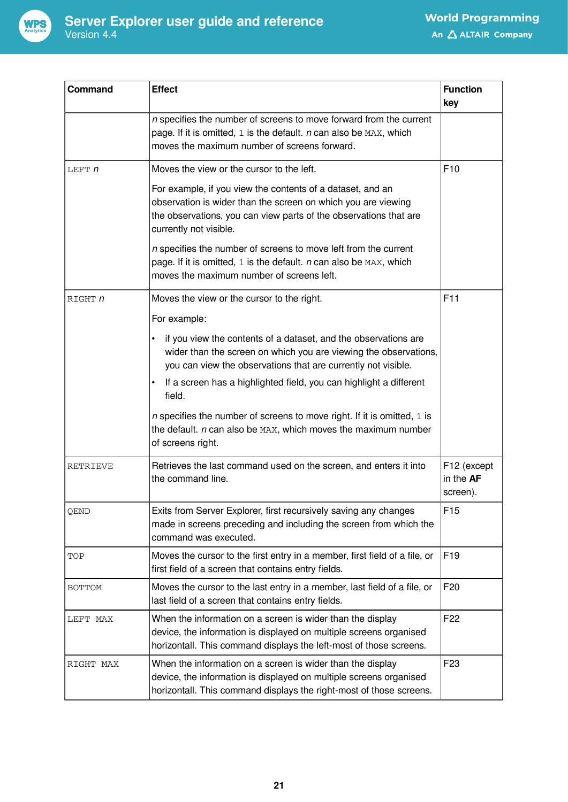

| Command         | <b>Effect</b>                                                                                                                                                                                                              | <b>Function</b><br>key               |
|-----------------|----------------------------------------------------------------------------------------------------------------------------------------------------------------------------------------------------------------------------|--------------------------------------|
|                 | <i>n</i> specifies the number of screens to move forward from the current<br>page. If it is omitted, 1 is the default. $n$ can also be $MAX$ , which<br>moves the maximum number of screens forward.                       |                                      |
| LEFT n          | F <sub>10</sub><br>Moves the view or the cursor to the left.                                                                                                                                                               |                                      |
|                 | For example, if you view the contents of a dataset, and an<br>observation is wider than the screen on which you are viewing<br>the observations, you can view parts of the observations that are<br>currently not visible. |                                      |
|                 | <i>n</i> specifies the number of screens to move left from the current<br>page. If it is omitted, 1 is the default. $n$ can also be $MAX$ , which<br>moves the maximum number of screens left.                             |                                      |
| RIGHT n         | Moves the view or the cursor to the right.                                                                                                                                                                                 | F11                                  |
|                 | For example:                                                                                                                                                                                                               |                                      |
|                 | if you view the contents of a dataset, and the observations are<br>wider than the screen on which you are viewing the observations,<br>you can view the observations that are currently not visible.                       |                                      |
|                 | If a screen has a highlighted field, you can highlight a different<br>field.                                                                                                                                               |                                      |
|                 | <i>n</i> specifies the number of screens to move right. If it is omitted, $1$ is<br>the default. $n$ can also be $MAX$ , which moves the maximum number<br>of screens right.                                               |                                      |
| <b>RETRIEVE</b> | Retrieves the last command used on the screen, and enters it into<br>the command line.                                                                                                                                     | F12 (except<br>in the AF<br>screen). |
| QEND            | Exits from Server Explorer, first recursively saving any changes<br>made in screens preceding and including the screen from which the<br>command was executed.                                                             | F <sub>15</sub>                      |
| TOP             | Moves the cursor to the first entry in a member, first field of a file, or<br>first field of a screen that contains entry fields.                                                                                          | F <sub>19</sub>                      |
| BOTTOM          | Moves the cursor to the last entry in a member, last field of a file, or<br>last field of a screen that contains entry fields.                                                                                             | F <sub>20</sub>                      |
| LEFT MAX        | When the information on a screen is wider than the display<br>device, the information is displayed on multiple screens organised<br>horizontall. This command displays the left-most of those screens.                     | F <sub>22</sub>                      |
| RIGHT MAX       | When the information on a screen is wider than the display<br>device, the information is displayed on multiple screens organised<br>horizontall. This command displays the right-most of those screens.                    | F <sub>23</sub>                      |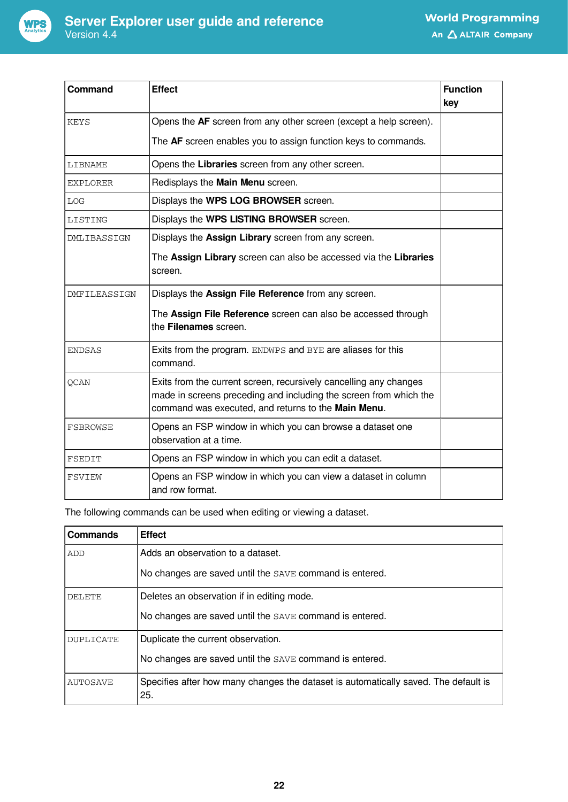

| <b>Command</b> | <b>Effect</b>                                                                                                                                                                                 | <b>Function</b><br>key |
|----------------|-----------------------------------------------------------------------------------------------------------------------------------------------------------------------------------------------|------------------------|
| <b>KEYS</b>    | Opens the AF screen from any other screen (except a help screen).                                                                                                                             |                        |
|                | The AF screen enables you to assign function keys to commands.                                                                                                                                |                        |
| LIBNAME        | Opens the Libraries screen from any other screen.                                                                                                                                             |                        |
| EXPLORER       | Redisplays the Main Menu screen.                                                                                                                                                              |                        |
| $_{\rm LOG}$   | Displays the WPS LOG BROWSER screen.                                                                                                                                                          |                        |
| LISTING        | Displays the WPS LISTING BROWSER screen.                                                                                                                                                      |                        |
| DMLIBASSIGN    | Displays the Assign Library screen from any screen.                                                                                                                                           |                        |
|                | The Assign Library screen can also be accessed via the Libraries<br>screen.                                                                                                                   |                        |
| DMFILEASSIGN   | Displays the Assign File Reference from any screen.                                                                                                                                           |                        |
|                | The Assign File Reference screen can also be accessed through<br>the Filenames screen.                                                                                                        |                        |
| ENDSAS         | Exits from the program. ENDWPS and BYE are aliases for this<br>command.                                                                                                                       |                        |
| QCAN           | Exits from the current screen, recursively cancelling any changes<br>made in screens preceding and including the screen from which the<br>command was executed, and returns to the Main Menu. |                        |
| FSBROWSE       | Opens an FSP window in which you can browse a dataset one<br>observation at a time.                                                                                                           |                        |
| FSEDIT         | Opens an FSP window in which you can edit a dataset.                                                                                                                                          |                        |
| FSVIEW         | Opens an FSP window in which you can view a dataset in column<br>and row format.                                                                                                              |                        |

The following commands can be used when editing or viewing a dataset.

| Commands      | <b>Effect</b>                                                                              |
|---------------|--------------------------------------------------------------------------------------------|
| ADD           | Adds an observation to a dataset.                                                          |
|               | No changes are saved until the SAVE command is entered.                                    |
| <b>DELETE</b> | Deletes an observation if in editing mode.                                                 |
|               | No changes are saved until the SAVE command is entered.                                    |
| DUPLICATE     | Duplicate the current observation.                                                         |
|               | No changes are saved until the SAVE command is entered.                                    |
| AUTOSAVE      | Specifies after how many changes the dataset is automatically saved. The default is<br>25. |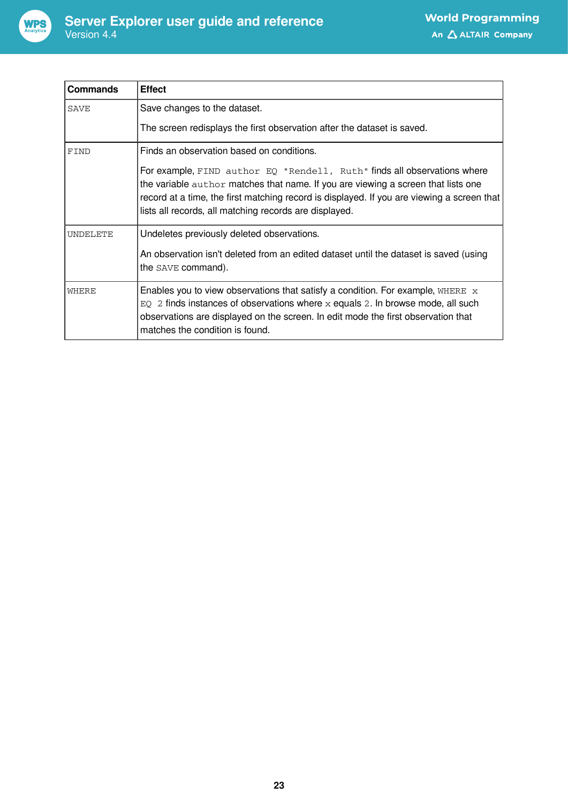

| <b>Commands</b> | <b>Effect</b>                                                                                                                                                                                                                                                                                                         |
|-----------------|-----------------------------------------------------------------------------------------------------------------------------------------------------------------------------------------------------------------------------------------------------------------------------------------------------------------------|
| SAVE            | Save changes to the dataset.                                                                                                                                                                                                                                                                                          |
|                 | The screen redisplays the first observation after the dataset is saved.                                                                                                                                                                                                                                               |
| FIND            | Finds an observation based on conditions.                                                                                                                                                                                                                                                                             |
|                 | For example, FIND author EQ "Rendell, Ruth" finds all observations where<br>the variable author matches that name. If you are viewing a screen that lists one<br>record at a time, the first matching record is displayed. If you are viewing a screen that<br>lists all records, all matching records are displayed. |
| <b>UNDELETE</b> | Undeletes previously deleted observations.                                                                                                                                                                                                                                                                            |
|                 | An observation isn't deleted from an edited dataset until the dataset is saved (using<br>the SAVE command).                                                                                                                                                                                                           |
| WHERE           | Enables you to view observations that satisfy a condition. For example, WHERE $\mathbf x$<br>$EQ$ 2 finds instances of observations where x equals 2. In browse mode, all such<br>observations are displayed on the screen. In edit mode the first observation that<br>matches the condition is found.                |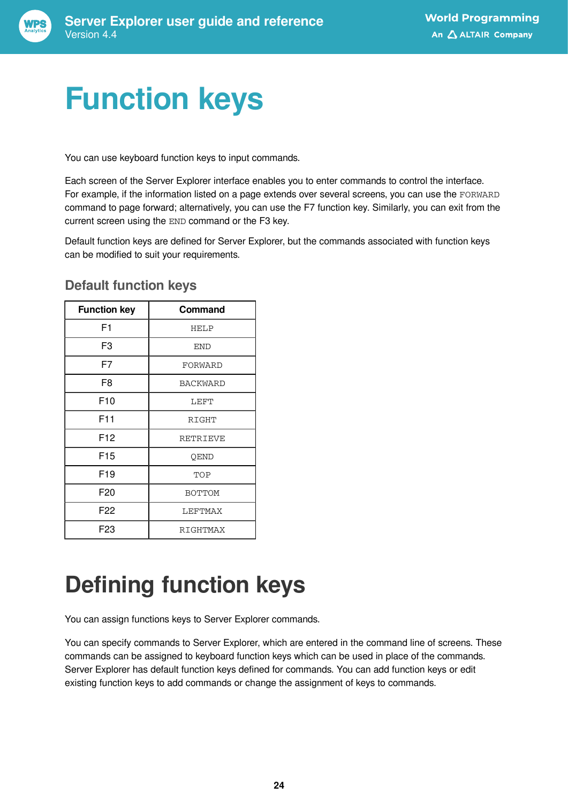# <span id="page-23-0"></span>**Function keys**

You can use keyboard function keys to input commands.

Each screen of the Server Explorer interface enables you to enter commands to control the interface. For example, if the information listed on a page extends over several screens, you can use the FORWARD command to page forward; alternatively, you can use the F7 function key. Similarly, you can exit from the current screen using the END command or the F3 key.

Default function keys are defined for Server Explorer, but the commands associated with function keys can be modified to suit your requirements.

| <b>Function key</b> | Command       |
|---------------------|---------------|
| F1                  | <b>HELP</b>   |
| F3                  | END           |
| F7                  | FORWARD       |
| F8                  | BACKWARD      |
| F10                 | LEFT          |
| F <sub>11</sub>     | RIGHT         |
| F <sub>12</sub>     | RETRIEVE      |
| F <sub>15</sub>     | QEND          |
| F19                 | TOP           |
| F20                 | <b>BOTTOM</b> |
| F <sub>22</sub>     | LEFTMAX       |
| F23                 | RIGHTMAX      |

### **Default function keys**

## <span id="page-23-1"></span>**Defining function keys**

You can assign functions keys to Server Explorer commands.

You can specify commands to Server Explorer, which are entered in the command line of screens. These commands can be assigned to keyboard function keys which can be used in place of the commands. Server Explorer has default function keys defined for commands. You can add function keys or edit existing function keys to add commands or change the assignment of keys to commands.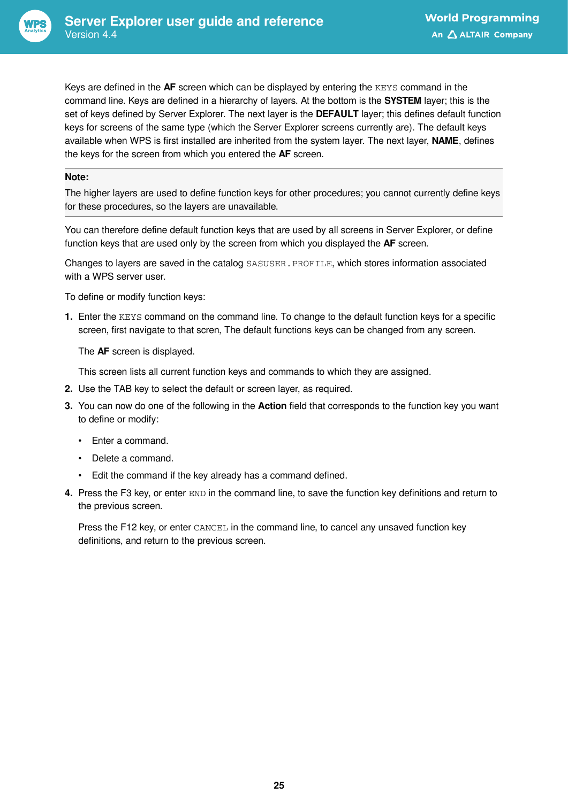

Keys are defined in the **AF** screen which can be displayed by entering the KEYS command in the command line. Keys are defined in a hierarchy of layers. At the bottom is the **SYSTEM** layer; this is the set of keys defined by Server Explorer. The next layer is the **DEFAULT** layer; this defines default function keys for screens of the same type (which the Server Explorer screens currently are). The default keys available when WPS is first installed are inherited from the system layer. The next layer, **NAME**, defines the keys for the screen from which you entered the **AF** screen.

#### **Note:**

The higher layers are used to define function keys for other procedures; you cannot currently define keys for these procedures, so the layers are unavailable.

You can therefore define default function keys that are used by all screens in Server Explorer, or define function keys that are used only by the screen from which you displayed the **AF** screen.

Changes to layers are saved in the catalog SASUSER.PROFILE, which stores information associated with a WPS server user.

To define or modify function keys:

**1.** Enter the KEYS command on the command line. To change to the default function keys for a specific screen, first navigate to that scren, The default functions keys can be changed from any screen.

#### The **AF** screen is displayed.

This screen lists all current function keys and commands to which they are assigned.

- **2.** Use the TAB key to select the default or screen layer, as required.
- **3.** You can now do one of the following in the **Action** field that corresponds to the function key you want to define or modify:
	- Enter a command.
	- Delete a command.
	- Edit the command if the key already has a command defined.
- **4.** Press the F3 key, or enter END in the command line, to save the function key definitions and return to the previous screen.

Press the F12 key, or enter CANCEL in the command line, to cancel any unsaved function key definitions, and return to the previous screen.